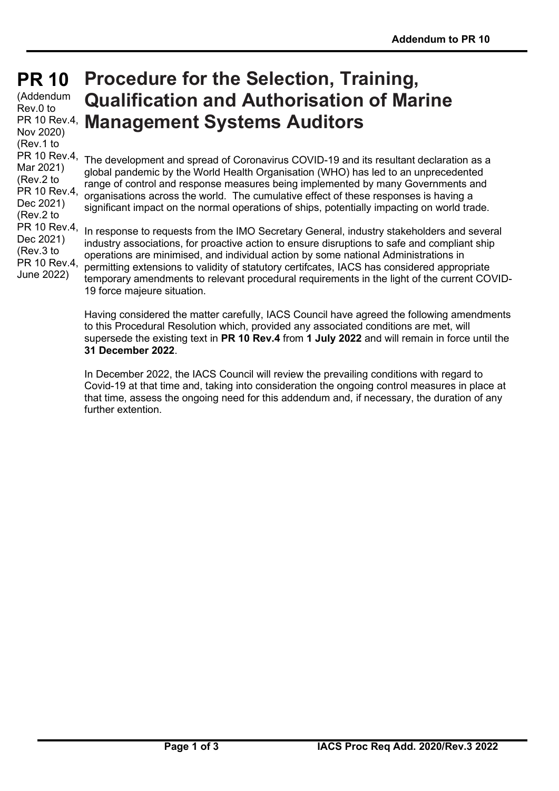# **PR 10 PR 10**

(Addendum Rev.0 to Nov 2020) (Rev.1 to PR 10 Rev.4, Mar 2021) (Rev.2 to PR 10 Rev.4, Dec 2021) (Rev.2 to PR 10 Rev.4, Dec 2021) (Rev.3 to PR 10 Rev.4, June 2022)

# PR 10 Rev.4, **Management Systems Auditors Procedure for the Selection, Training, Qualification and Authorisation of Marine**

The development and spread of Coronavirus COVID-19 and its resultant declaration as a global pandemic by the World Health Organisation (WHO) has led to an unprecedented range of control and response measures being implemented by many Governments and organisations across the world. The cumulative effect of these responses is having a significant impact on the normal operations of ships, potentially impacting on world trade.

In response to requests from the IMO Secretary General, industry stakeholders and several industry associations, for proactive action to ensure disruptions to safe and compliant ship operations are minimised, and individual action by some national Administrations in permitting extensions to validity of statutory certifcates, IACS has considered appropriate temporary amendments to relevant procedural requirements in the light of the current COVID-19 force majeure situation.

Having considered the matter carefully, IACS Council have agreed the following amendments to this Procedural Resolution which, provided any associated conditions are met, will supersede the existing text in **PR 10 Rev.4** from **1 July 2022** and will remain in force until the **31 December 2022**.

In December 2022, the IACS Council will review the prevailing conditions with regard to Covid-19 at that time and, taking into consideration the ongoing control measures in place at that time, assess the ongoing need for this addendum and, if necessary, the duration of any further extention.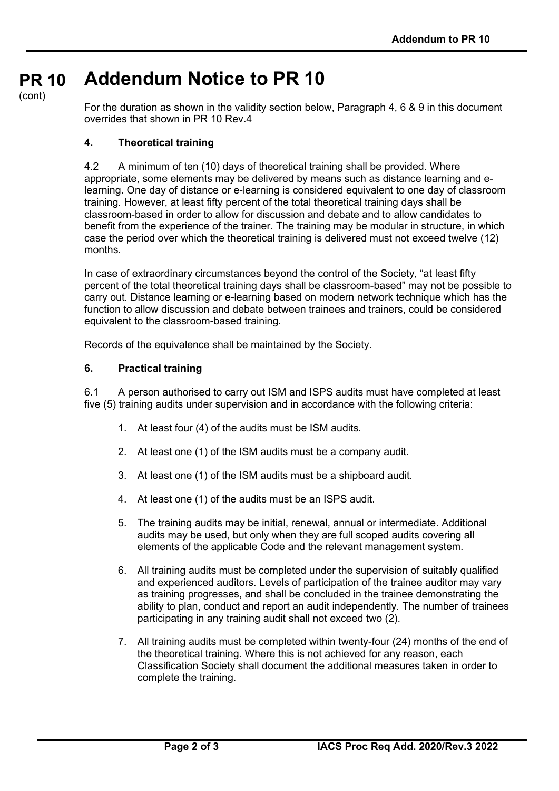#### **PR 10 Addendum Notice to PR 10**

(cont)

For the duration as shown in the validity section below, Paragraph 4, 6 & 9 in this document overrides that shown in PR 10 Rev.4

## **4. Theoretical training**

4.2 A minimum of ten (10) days of theoretical training shall be provided. Where appropriate, some elements may be delivered by means such as distance learning and elearning. One day of distance or e-learning is considered equivalent to one day of classroom training. However, at least fifty percent of the total theoretical training days shall be classroom-based in order to allow for discussion and debate and to allow candidates to benefit from the experience of the trainer. The training may be modular in structure, in which case the period over which the theoretical training is delivered must not exceed twelve (12) months.

In case of extraordinary circumstances beyond the control of the Society, "at least fifty percent of the total theoretical training days shall be classroom-based" may not be possible to carry out. Distance learning or e-learning based on modern network technique which has the function to allow discussion and debate between trainees and trainers, could be considered equivalent to the classroom-based training.

Records of the equivalence shall be maintained by the Society.

## **6. Practical training**

6.1 A person authorised to carry out ISM and ISPS audits must have completed at least five (5) training audits under supervision and in accordance with the following criteria:

- 1. At least four (4) of the audits must be ISM audits.
- 2. At least one (1) of the ISM audits must be a company audit.
- 3. At least one (1) of the ISM audits must be a shipboard audit.
- 4. At least one (1) of the audits must be an ISPS audit.
- 5. The training audits may be initial, renewal, annual or intermediate. Additional audits may be used, but only when they are full scoped audits covering all elements of the applicable Code and the relevant management system.
- 6. All training audits must be completed under the supervision of suitably qualified and experienced auditors. Levels of participation of the trainee auditor may vary as training progresses, and shall be concluded in the trainee demonstrating the ability to plan, conduct and report an audit independently. The number of trainees participating in any training audit shall not exceed two (2).
- 7. All training audits must be completed within twenty-four (24) months of the end of the theoretical training. Where this is not achieved for any reason, each Classification Society shall document the additional measures taken in order to complete the training.